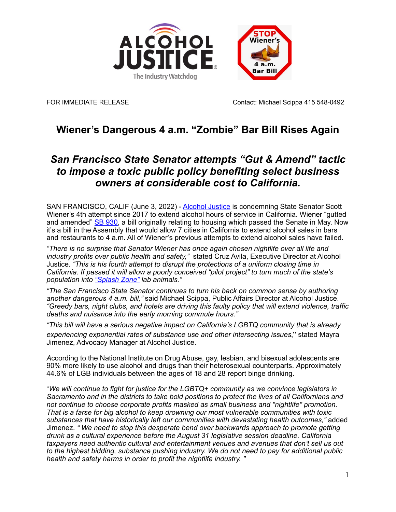



FOR IMMEDIATE RELEASE CONTACT CONTACT: Michael Scippa 415 548-0492

# **Wiener's Dangerous 4 a.m. "Zombie" Bar Bill Rises Again**

## *San Francisco State Senator attempts "Gut & Amend" tactic to impose a toxic public policy benefiting select business owners at considerable cost to California.*

SAN FRANCISCO, CALIF (June 3, 2022) - [Alcohol Justice](http://www.alcoholjustice.org/) is condemning State Senator Scott Wiener's 4th attempt since 2017 to extend alcohol hours of service in California. Wiener "gutted and amended" [SB 930](https://leginfo.legislature.ca.gov/faces/billVotesClient.xhtml?bill_id=202120220SB930), a bill originally relating to housing which passed the Senate in May. Now it's a bill in the Assembly that would allow 7 cities in California to extend alcohol sales in bars and restaurants to 4 a.m. All of Wiener's previous attempts to extend alcohol sales have failed.

*"There is no surprise that Senator Wiener has once again chosen nightlife over all life and industry profits over public health and safety,"* stated Cruz Avila, Executive Director at Alcohol Justice. *"This is his fourth attempt to disrupt the protections of a uniform closing time in California. If passed it will allow a poorly conceived "pilot project" to turn much of the state's population into ["Splash Zone"](http://alcoholjustice.org/images/reports/reports-full/LATE-NIGHT-THREAT-final.pdf) lab animals."* 

*"The San Francisco State Senator continues to turn his back on common sense by authoring another dangerous 4 a.m. bill,"* said Michael Scippa, Public Affairs Director at Alcohol Justice. *"Greedy bars, night clubs, and hotels are driving this faulty policy that will extend violence, traffic deaths and nuisance into the early morning commute hours."* 

*"This bill will have a serious negative impact on California's LGBTQ community that is already experiencing exponential rates of substance use and other intersecting issues*," stated Mayra Jimenez, Advocacy Manager at Alcohol Justice.

*A*ccording to the National Institute on Drug Abuse, gay, lesbian, and bisexual adolescents are 90% more likely to use alcohol and drugs than their heterosexual counterparts. *A*pproximately 44.6% of LGB individuals between the ages of 18 and 28 report binge drinking.

"*We will continue to fight for justice for the LGBTQ+ community as we convince legislators in Sacramento and in the districts to take bold positions to protect the lives of all Californians and not continue to choose corporate profits masked as small business and "nightlife" promotion. That is a farse for big alcohol to keep drowning our most vulnerable communities with toxic substances that have historically left our communities with devastating health outcomes,"* added Jimenez. *" We need to stop this desperate bend over backwards approach to promote getting drunk as a cultural experience before the August 31 legislative session deadline. California taxpayers need authentic cultural and entertainment venues and avenues that don't sell us out to the highest bidding, substance pushing industry. We do not need to pay for additional public health and safety harms in order to profit the nightlife industry. "*